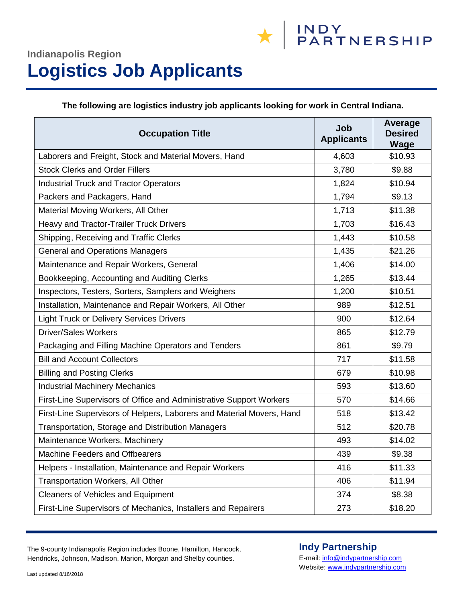## **Indianapolis Region Logistics Job Applicants**

**The following are logistics industry job applicants looking for work in Central Indiana.**

| <b>Occupation Title</b>                                               | Job<br><b>Applicants</b> | Average<br><b>Desired</b><br><b>Wage</b> |
|-----------------------------------------------------------------------|--------------------------|------------------------------------------|
| Laborers and Freight, Stock and Material Movers, Hand                 | 4,603                    | \$10.93                                  |
| <b>Stock Clerks and Order Fillers</b>                                 | 3,780                    | \$9.88                                   |
| <b>Industrial Truck and Tractor Operators</b>                         | 1,824                    | \$10.94                                  |
| Packers and Packagers, Hand                                           | 1,794                    | \$9.13                                   |
| Material Moving Workers, All Other                                    | 1,713                    | \$11.38                                  |
| Heavy and Tractor-Trailer Truck Drivers                               | 1,703                    | \$16.43                                  |
| Shipping, Receiving and Traffic Clerks                                | 1,443                    | \$10.58                                  |
| <b>General and Operations Managers</b>                                | 1,435                    | \$21.26                                  |
| Maintenance and Repair Workers, General                               | 1,406                    | \$14.00                                  |
| Bookkeeping, Accounting and Auditing Clerks                           | 1,265                    | \$13.44                                  |
| Inspectors, Testers, Sorters, Samplers and Weighers                   | 1,200                    | \$10.51                                  |
| Installation, Maintenance and Repair Workers, All Other               | 989                      | \$12.51                                  |
| <b>Light Truck or Delivery Services Drivers</b>                       | 900                      | \$12.64                                  |
| <b>Driver/Sales Workers</b>                                           | 865                      | \$12.79                                  |
| Packaging and Filling Machine Operators and Tenders                   | 861                      | \$9.79                                   |
| <b>Bill and Account Collectors</b>                                    | 717                      | \$11.58                                  |
| <b>Billing and Posting Clerks</b>                                     | 679                      | \$10.98                                  |
| <b>Industrial Machinery Mechanics</b>                                 | 593                      | \$13.60                                  |
| First-Line Supervisors of Office and Administrative Support Workers   | 570                      | \$14.66                                  |
| First-Line Supervisors of Helpers, Laborers and Material Movers, Hand | 518                      | \$13.42                                  |
| Transportation, Storage and Distribution Managers                     | 512                      | \$20.78                                  |
| Maintenance Workers, Machinery                                        | 493                      | \$14.02                                  |
| <b>Machine Feeders and Offbearers</b>                                 | 439                      | \$9.38                                   |
| Helpers - Installation, Maintenance and Repair Workers                | 416                      | \$11.33                                  |
| <b>Transportation Workers, All Other</b>                              | 406                      | \$11.94                                  |
| <b>Cleaners of Vehicles and Equipment</b>                             | 374                      | \$8.38                                   |
| First-Line Supervisors of Mechanics, Installers and Repairers         | 273                      | \$18.20                                  |

The 9-county Indianapolis Region includes Boone, Hamilton, Hancock, Hendricks, Johnson, Madison, Marion, Morgan and Shelby counties.

### **Indy Partnership**

E-mail[: info@indypartnership.com](mailto:info@indypartnership.com) Website[: www.indypartnership.com](http://www.indypartnership.com/)